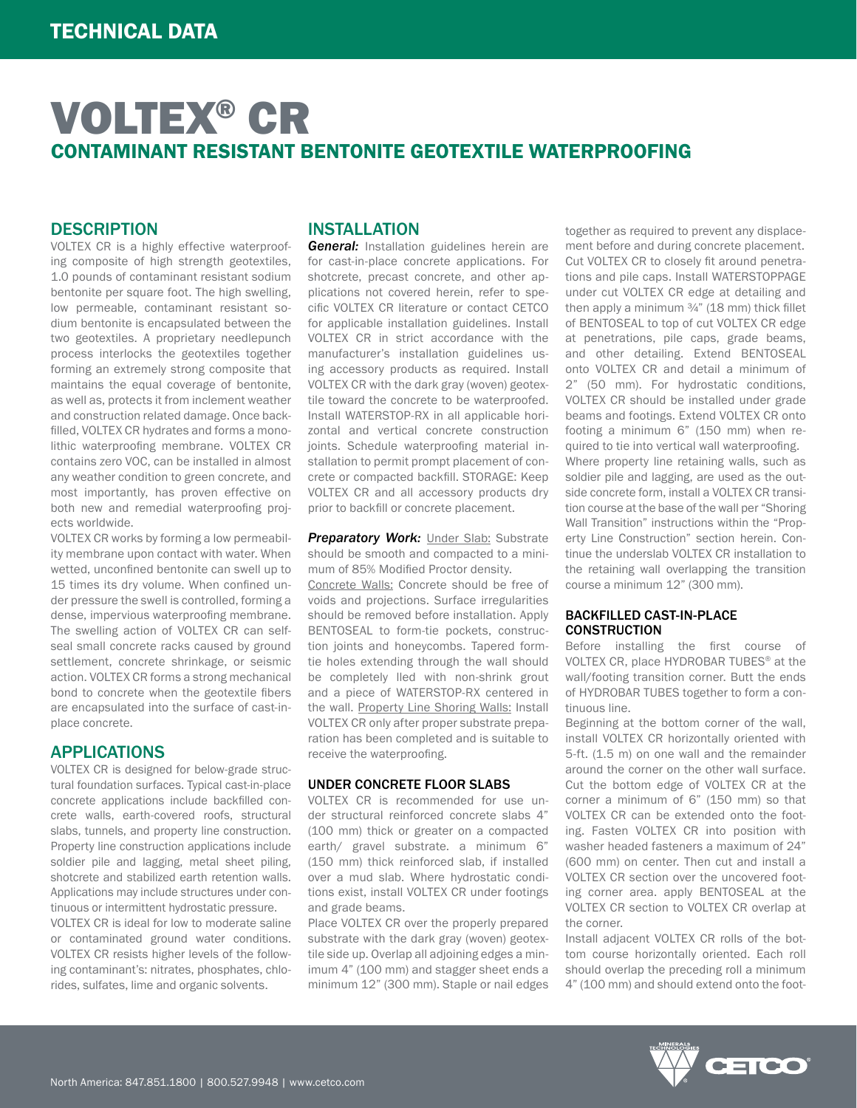# VOLTEX® CR CONTAMINANT RESISTANT BENTONITE GEOTEXTILE WATERPROOFING

### **DESCRIPTION**

VOLTEX CR is a highly effective waterproofing composite of high strength geotextiles, 1.0 pounds of contaminant resistant sodium bentonite per square foot. The high swelling, low permeable, contaminant resistant sodium bentonite is encapsulated between the two geotextiles. A proprietary needlepunch process interlocks the geotextiles together forming an extremely strong composite that maintains the equal coverage of bentonite, as well as, protects it from inclement weather and construction related damage. Once backfilled, VOLTEX CR hydrates and forms a monolithic waterproofing membrane. VOLTEX CR contains zero VOC, can be installed in almost any weather condition to green concrete, and most importantly, has proven effective on both new and remedial waterproofing projects worldwide.

VOLTEX CR works by forming a low permeability membrane upon contact with water. When wetted, unconfined bentonite can swell up to 15 times its dry volume. When confined under pressure the swell is controlled, forming a dense, impervious waterproofing membrane. The swelling action of VOLTEX CR can selfseal small concrete racks caused by ground settlement, concrete shrinkage, or seismic action. VOLTEX CR forms a strong mechanical bond to concrete when the geotextile fibers are encapsulated into the surface of cast-inplace concrete.

### APPLICATIONS

VOLTEX CR is designed for below-grade structural foundation surfaces. Typical cast-in-place concrete applications include backfilled concrete walls, earth-covered roofs, structural slabs, tunnels, and property line construction. Property line construction applications include soldier pile and lagging, metal sheet piling, shotcrete and stabilized earth retention walls. Applications may include structures under continuous or intermittent hydrostatic pressure.

VOLTEX CR is ideal for low to moderate saline or contaminated ground water conditions. VOLTEX CR resists higher levels of the following contaminant's: nitrates, phosphates, chlorides, sulfates, lime and organic solvents.

## INSTALLATION

*General:* Installation guidelines herein are for cast-in-place concrete applications. For shotcrete, precast concrete, and other applications not covered herein, refer to specific VOLTEX CR literature or contact CETCO for applicable installation guidelines. Install VOLTEX CR in strict accordance with the manufacturer's installation guidelines using accessory products as required. Install VOLTEX CR with the dark gray (woven) geotextile toward the concrete to be waterproofed. Install WATERSTOP-RX in all applicable horizontal and vertical concrete construction joints. Schedule waterproofing material installation to permit prompt placement of concrete or compacted backfill. STORAGE: Keep VOLTEX CR and all accessory products dry prior to backfill or concrete placement.

**Preparatory Work: Under Slab: Substrate** should be smooth and compacted to a minimum of 85% Modified Proctor density.

Concrete Walls: Concrete should be free of voids and projections. Surface irregularities should be removed before installation. Apply BENTOSEAL to form-tie pockets, construction joints and honeycombs. Tapered formtie holes extending through the wall should be completely lled with non-shrink grout and a piece of WATERSTOP-RX centered in the wall. Property Line Shoring Walls: Install VOLTEX CR only after proper substrate preparation has been completed and is suitable to receive the waterproofing.

### UNDER CONCRETE FLOOR SLABS

VOLTEX CR is recommended for use under structural reinforced concrete slabs 4" (100 mm) thick or greater on a compacted earth/ gravel substrate. a minimum 6" (150 mm) thick reinforced slab, if installed over a mud slab. Where hydrostatic conditions exist, install VOLTEX CR under footings and grade beams.

Place VOLTEX CR over the properly prepared substrate with the dark gray (woven) geotextile side up. Overlap all adjoining edges a minimum 4" (100 mm) and stagger sheet ends a minimum 12" (300 mm). Staple or nail edges together as required to prevent any displacement before and during concrete placement. Cut VOLTEX CR to closely fit around penetrations and pile caps. Install WATERSTOPPAGE under cut VOLTEX CR edge at detailing and then apply a minimum  $\frac{3}{4}$ " (18 mm) thick fillet of BENTOSEAL to top of cut VOLTEX CR edge at penetrations, pile caps, grade beams, and other detailing. Extend BENTOSEAL onto VOLTEX CR and detail a minimum of 2" (50 mm). For hydrostatic conditions, VOLTEX CR should be installed under grade beams and footings. Extend VOLTEX CR onto footing a minimum 6" (150 mm) when required to tie into vertical wall waterproofing. Where property line retaining walls, such as soldier pile and lagging, are used as the outside concrete form, install a VOLTEX CR transition course at the base of the wall per "Shoring Wall Transition" instructions within the "Property Line Construction" section herein. Continue the underslab VOLTEX CR installation to the retaining wall overlapping the transition course a minimum 12" (300 mm).

#### BACKFILLED CAST-IN-PLACE **CONSTRUCTION**

Before installing the first course of VOLTEX CR, place HYDROBAR TUBES® at the wall/footing transition corner. Butt the ends of HYDROBAR TUBES together to form a continuous line.

Beginning at the bottom corner of the wall, install VOLTEX CR horizontally oriented with 5-ft. (1.5 m) on one wall and the remainder around the corner on the other wall surface. Cut the bottom edge of VOLTEX CR at the corner a minimum of 6" (150 mm) so that VOLTEX CR can be extended onto the footing. Fasten VOLTEX CR into position with washer headed fasteners a maximum of 24" (600 mm) on center. Then cut and install a VOLTEX CR section over the uncovered footing corner area. apply BENTOSEAL at the VOLTEX CR section to VOLTEX CR overlap at the corner.

Install adjacent VOLTEX CR rolls of the bottom course horizontally oriented. Each roll should overlap the preceding roll a minimum 4" (100 mm) and should extend onto the foot-

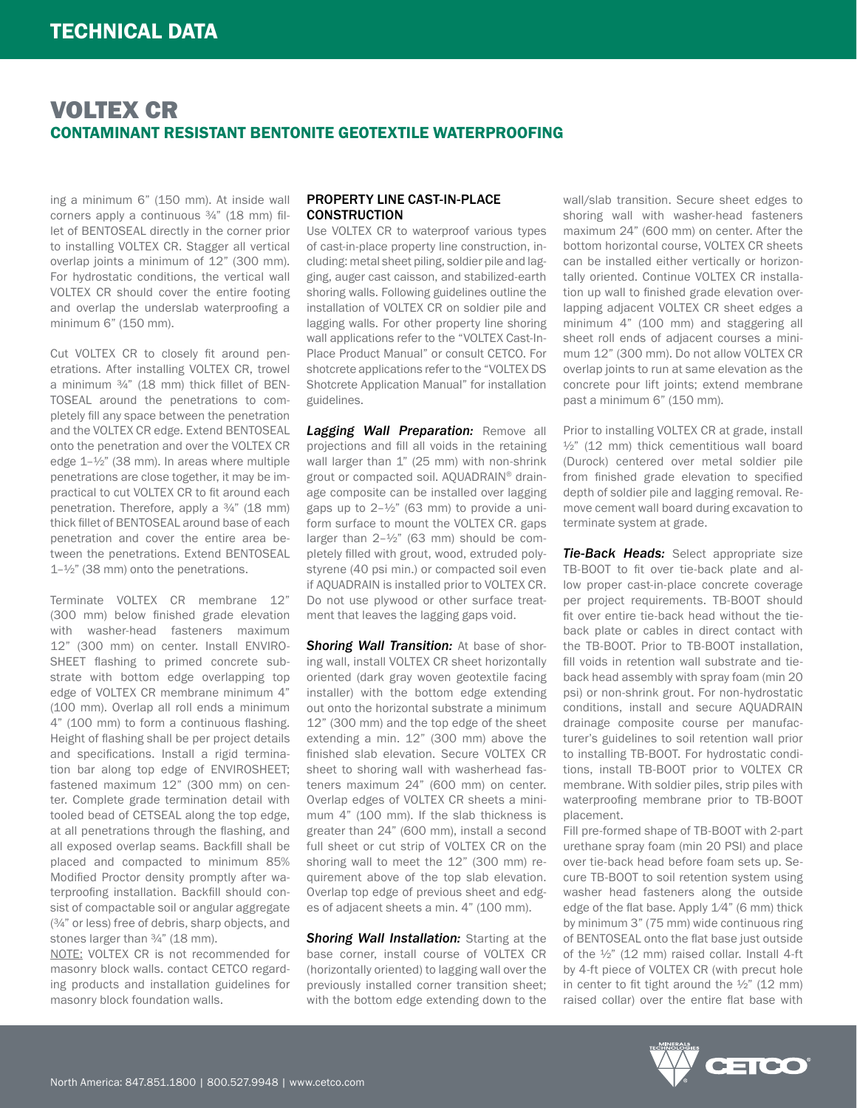# VOLTEX CR CONTAMINANT RESISTANT BENTONITE GEOTEXTILE WATERPROOFING

ing a minimum 6" (150 mm). At inside wall corners apply a continuous ¾" (18 mm) fillet of BENTOSEAL directly in the corner prior to installing VOLTEX CR. Stagger all vertical overlap joints a minimum of 12" (300 mm). For hydrostatic conditions, the vertical wall VOLTEX CR should cover the entire footing and overlap the underslab waterproofing a minimum 6" (150 mm).

Cut VOLTEX CR to closely fit around penetrations. After installing VOLTEX CR, trowel a minimum ¾" (18 mm) thick fillet of BEN-TOSEAL around the penetrations to completely fill any space between the penetration and the VOLTEX CR edge. Extend BENTOSEAL onto the penetration and over the VOLTEX CR edge 1–½" (38 mm). In areas where multiple penetrations are close together, it may be impractical to cut VOLTEX CR to fit around each penetration. Therefore, apply a 3/4" (18 mm) thick fillet of BENTOSEAL around base of each penetration and cover the entire area between the penetrations. Extend BENTOSEAL 1–½" (38 mm) onto the penetrations.

Terminate VOLTEX CR membrane 12" (300 mm) below finished grade elevation with washer-head fasteners maximum 12" (300 mm) on center. Install ENVIRO-SHEET flashing to primed concrete substrate with bottom edge overlapping top edge of VOLTEX CR membrane minimum 4" (100 mm). Overlap all roll ends a minimum 4" (100 mm) to form a continuous flashing. Height of flashing shall be per project details and specifications. Install a rigid termination bar along top edge of ENVIROSHEET; fastened maximum 12" (300 mm) on center. Complete grade termination detail with tooled bead of CETSEAL along the top edge, at all penetrations through the flashing, and all exposed overlap seams. Backfill shall be placed and compacted to minimum 85% Modified Proctor density promptly after waterproofing installation. Backfill should consist of compactable soil or angular aggregate (¾" or less) free of debris, sharp objects, and stones larger than  $\frac{3}{4}$ " (18 mm).

NOTE: VOLTEX CR is not recommended for masonry block walls. contact CETCO regarding products and installation guidelines for masonry block foundation walls.

#### PROPERTY LINE CAST-IN-PLACE **CONSTRUCTION**

Use VOLTEX CR to waterproof various types of cast-in-place property line construction, including: metal sheet piling, soldier pile and lagging, auger cast caisson, and stabilized-earth shoring walls. Following guidelines outline the installation of VOLTEX CR on soldier pile and lagging walls. For other property line shoring wall applications refer to the "VOLTEX Cast-In-Place Product Manual" or consult CETCO. For shotcrete applications refer to the "VOLTEX DS Shotcrete Application Manual" for installation guidelines.

*Lagging Wall Preparation:* Remove all projections and fill all voids in the retaining wall larger than 1" (25 mm) with non-shrink grout or compacted soil. AQUADRAIN® drainage composite can be installed over lagging gaps up to  $2-\frac{1}{2}$ " (63 mm) to provide a uniform surface to mount the VOLTEX CR. gaps larger than 2–½" (63 mm) should be completely filled with grout, wood, extruded polystyrene (40 psi min.) or compacted soil even if AQUADRAIN is installed prior to VOLTEX CR. Do not use plywood or other surface treatment that leaves the lagging gaps void.

**Shoring Wall Transition:** At base of shoring wall, install VOLTEX CR sheet horizontally oriented (dark gray woven geotextile facing installer) with the bottom edge extending out onto the horizontal substrate a minimum 12" (300 mm) and the top edge of the sheet extending a min. 12" (300 mm) above the finished slab elevation. Secure VOLTEX CR sheet to shoring wall with washerhead fasteners maximum 24" (600 mm) on center. Overlap edges of VOLTEX CR sheets a minimum 4" (100 mm). If the slab thickness is greater than 24" (600 mm), install a second full sheet or cut strip of VOLTEX CR on the shoring wall to meet the 12" (300 mm) requirement above of the top slab elevation. Overlap top edge of previous sheet and edges of adjacent sheets a min. 4" (100 mm).

**Shoring Wall Installation:** Starting at the base corner, install course of VOLTEX CR (horizontally oriented) to lagging wall over the previously installed corner transition sheet; with the bottom edge extending down to the wall/slab transition. Secure sheet edges to shoring wall with washer-head fasteners maximum 24" (600 mm) on center. After the bottom horizontal course, VOLTEX CR sheets can be installed either vertically or horizontally oriented. Continue VOLTEX CR installation up wall to finished grade elevation overlapping adjacent VOLTEX CR sheet edges a minimum 4" (100 mm) and staggering all sheet roll ends of adjacent courses a minimum 12" (300 mm). Do not allow VOLTEX CR overlap joints to run at same elevation as the concrete pour lift joints; extend membrane past a minimum 6" (150 mm).

Prior to installing VOLTEX CR at grade, install  $\frac{1}{2}$ " (12 mm) thick cementitious wall board (Durock) centered over metal soldier pile from finished grade elevation to specified depth of soldier pile and lagging removal. Remove cement wall board during excavation to terminate system at grade.

*Tie-Back Heads:* Select appropriate size TB-BOOT to fit over tie-back plate and allow proper cast-in-place concrete coverage per project requirements. TB-BOOT should fit over entire tie-back head without the tieback plate or cables in direct contact with the TB-BOOT. Prior to TB-BOOT installation, fill voids in retention wall substrate and tieback head assembly with spray foam (min 20 psi) or non-shrink grout. For non-hydrostatic conditions, install and secure AQUADRAIN drainage composite course per manufacturer's guidelines to soil retention wall prior to installing TB-BOOT. For hydrostatic conditions, install TB-BOOT prior to VOLTEX CR membrane. With soldier piles, strip piles with waterproofing membrane prior to TB-BOOT placement.

Fill pre-formed shape of TB-BOOT with 2-part urethane spray foam (min 20 PSI) and place over tie-back head before foam sets up. Secure TB-BOOT to soil retention system using washer head fasteners along the outside edge of the flat base. Apply 1/4" (6 mm) thick by minimum 3" (75 mm) wide continuous ring of BENTOSEAL onto the flat base just outside of the ½" (12 mm) raised collar. Install 4-ft by 4-ft piece of VOLTEX CR (with precut hole in center to fit tight around the  $\frac{1}{2}$ " (12 mm) raised collar) over the entire flat base with

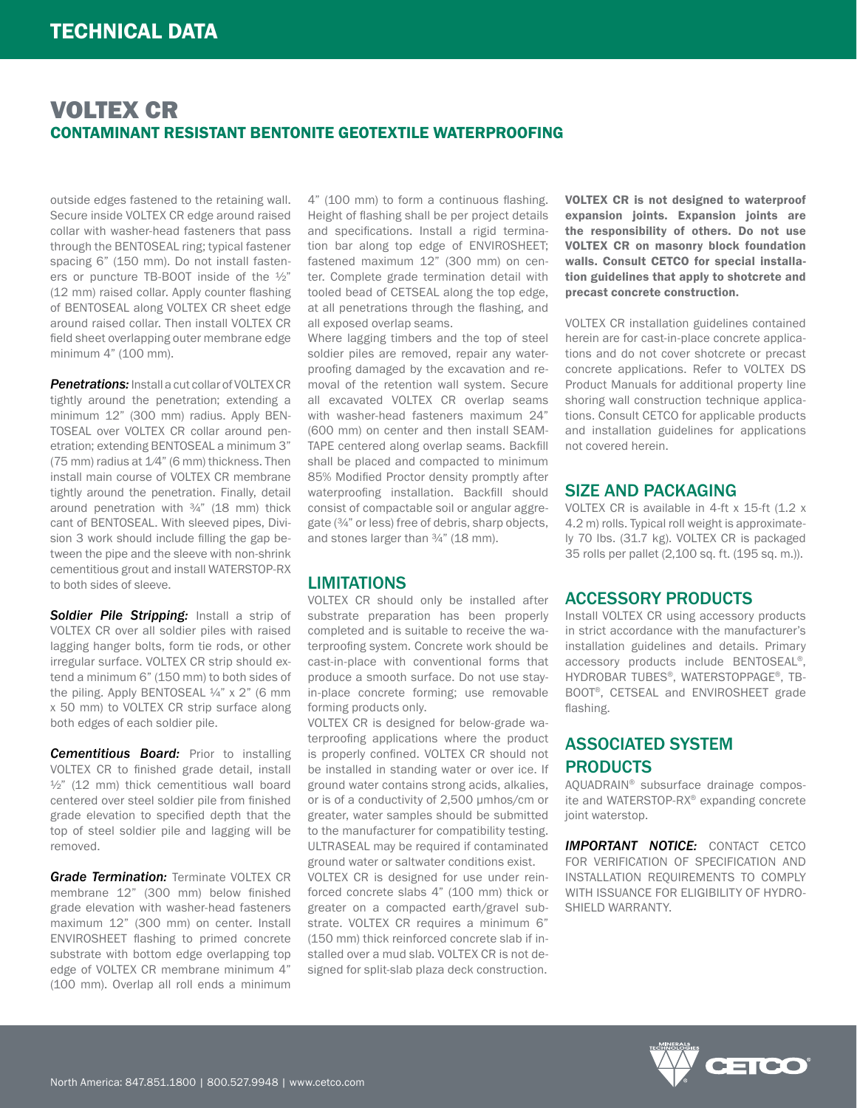# VOLTEX CR CONTAMINANT RESISTANT BENTONITE GEOTEXTILE WATERPROOFING

outside edges fastened to the retaining wall. Secure inside VOLTEX CR edge around raised collar with washer-head fasteners that pass through the BENTOSEAL ring; typical fastener spacing 6" (150 mm). Do not install fasteners or puncture TB-BOOT inside of the ½" (12 mm) raised collar. Apply counter flashing of BENTOSEAL along VOLTEX CR sheet edge around raised collar. Then install VOLTEX CR field sheet overlapping outer membrane edge minimum 4" (100 mm).

**Penetrations:** Install a cut collar of VOLTEX CR tightly around the penetration; extending a minimum 12" (300 mm) radius. Apply BEN-TOSEAL over VOLTEX CR collar around penetration; extending BENTOSEAL a minimum 3" (75 mm) radius at 1⁄4" (6 mm) thickness. Then install main course of VOLTEX CR membrane tightly around the penetration. Finally, detail around penetration with ¾" (18 mm) thick cant of BENTOSEAL. With sleeved pipes, Division 3 work should include filling the gap between the pipe and the sleeve with non-shrink cementitious grout and install WATERSTOP-RX to both sides of sleeve.

**Soldier Pile Stripping:** Install a strip of VOLTEX CR over all soldier piles with raised lagging hanger bolts, form tie rods, or other irregular surface. VOLTEX CR strip should extend a minimum 6" (150 mm) to both sides of the piling. Apply BENTOSEAL ¼" x 2" (6 mm x 50 mm) to VOLTEX CR strip surface along both edges of each soldier pile.

*Cementitious Board:* Prior to installing VOLTEX CR to finished grade detail, install  $\frac{1}{2}$ " (12 mm) thick cementitious wall board centered over steel soldier pile from finished grade elevation to specified depth that the top of steel soldier pile and lagging will be removed.

*Grade Termination: Terminate VOLTEX CR* membrane 12" (300 mm) below finished grade elevation with washer-head fasteners maximum 12" (300 mm) on center. Install ENVIROSHEET flashing to primed concrete substrate with bottom edge overlapping top edge of VOLTEX CR membrane minimum 4" (100 mm). Overlap all roll ends a minimum

4" (100 mm) to form a continuous flashing. Height of flashing shall be per project details and specifications. Install a rigid termination bar along top edge of ENVIROSHEET; fastened maximum 12" (300 mm) on center. Complete grade termination detail with tooled bead of CETSEAL along the top edge, at all penetrations through the flashing, and all exposed overlap seams.

Where lagging timbers and the top of steel soldier piles are removed, repair any waterproofing damaged by the excavation and removal of the retention wall system. Secure all excavated VOLTEX CR overlap seams with washer-head fasteners maximum 24" (600 mm) on center and then install SEAM-TAPE centered along overlap seams. Backfill shall be placed and compacted to minimum 85% Modified Proctor density promptly after waterproofing installation. Backfill should consist of compactable soil or angular aggregate (¾" or less) free of debris, sharp objects, and stones larger than ¾" (18 mm).

### LIMITATIONS

VOLTEX CR should only be installed after substrate preparation has been properly completed and is suitable to receive the waterproofing system. Concrete work should be cast-in-place with conventional forms that produce a smooth surface. Do not use stayin-place concrete forming; use removable forming products only.

VOLTEX CR is designed for below-grade waterproofing applications where the product is properly confined. VOLTEX CR should not be installed in standing water or over ice. If ground water contains strong acids, alkalies, or is of a conductivity of 2,500 μmhos/cm or greater, water samples should be submitted to the manufacturer for compatibility testing. ULTRASEAL may be required if contaminated ground water or saltwater conditions exist.

VOLTEX CR is designed for use under reinforced concrete slabs 4" (100 mm) thick or greater on a compacted earth/gravel substrate. VOLTEX CR requires a minimum 6" (150 mm) thick reinforced concrete slab if installed over a mud slab. VOLTEX CR is not designed for split-slab plaza deck construction.

VOLTEX CR is not designed to waterproof expansion joints. Expansion joints are the responsibility of others. Do not use VOLTEX CR on masonry block foundation walls. Consult CETCO for special installation guidelines that apply to shotcrete and precast concrete construction.

VOLTEX CR installation guidelines contained herein are for cast-in-place concrete applications and do not cover shotcrete or precast concrete applications. Refer to VOLTEX DS Product Manuals for additional property line shoring wall construction technique applications. Consult CETCO for applicable products and installation guidelines for applications not covered herein.

### SIZE AND PACKAGING

VOLTEX CR is available in 4-ft x 15-ft (1.2 x 4.2 m) rolls. Typical roll weight is approximately 70 lbs. (31.7 kg). VOLTEX CR is packaged 35 rolls per pallet (2,100 sq. ft. (195 sq. m.)).

### ACCESSORY PRODUCTS

Install VOLTEX CR using accessory products in strict accordance with the manufacturer's installation guidelines and details. Primary accessory products include BENTOSEAL®, HYDROBAR TUBES®, WATERSTOPPAGE®, TB-BOOT®, CETSEAL and ENVIROSHEET grade flashing.

# ASSOCIATED SYSTEM PRODUCTS

AQUADRAIN® subsurface drainage composite and WATERSTOP-RX® expanding concrete joint waterstop.

*IMPORTANT NOTICE:* CONTACT CETCO FOR VERIFICATION OF SPECIFICATION AND INSTALLATION REQUIREMENTS TO COMPLY WITH ISSUANCE FOR ELIGIBILITY OF HYDRO-SHIELD WARRANTY.